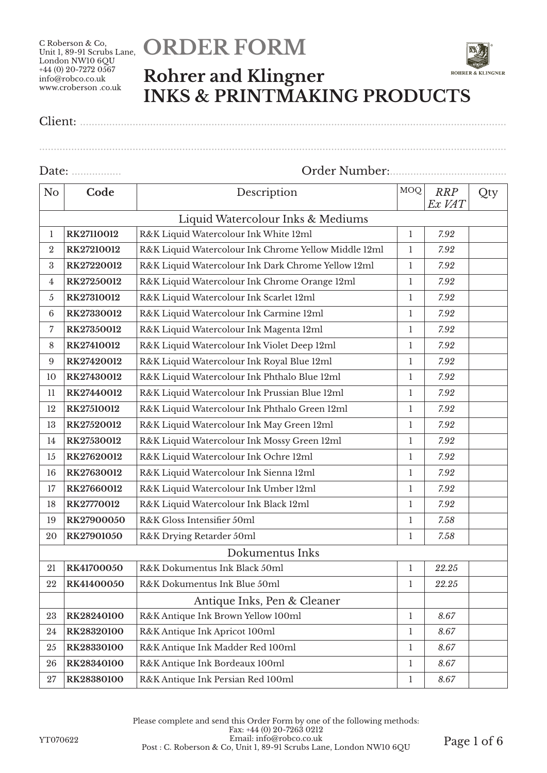# **ORDER FORM**



### **Rohrer and Klingner INKS & PRINTMAKING PRODUCTS**

## Client: ..................................................................................................................................................

Date: ................. Order Number:........................................

................................................................................................................................................................

| N <sub>o</sub>                    | Code                                                | Description                                          |              | <b>RRP</b><br>Ex VAT | Qty |  |
|-----------------------------------|-----------------------------------------------------|------------------------------------------------------|--------------|----------------------|-----|--|
| Liquid Watercolour Inks & Mediums |                                                     |                                                      |              |                      |     |  |
| 1                                 | RK27110012                                          | $\mathbf{1}$                                         | 7.92         |                      |     |  |
| $\overline{2}$                    | RK27210012                                          | R&K Liquid Watercolour Ink Chrome Yellow Middle 12ml | $\mathbf{1}$ | 7.92                 |     |  |
| 3                                 | RK27220012                                          | R&K Liquid Watercolour Ink Dark Chrome Yellow 12ml   | $\mathbf{1}$ | 7.92                 |     |  |
| 4                                 | RK27250012                                          | R&K Liquid Watercolour Ink Chrome Orange 12ml        | 1            | 7.92                 |     |  |
| 5                                 | RK27310012                                          | R&K Liquid Watercolour Ink Scarlet 12ml              | $\mathbf{1}$ | 7.92                 |     |  |
| $\,6\,$                           | RK27330012                                          | R&K Liquid Watercolour Ink Carmine 12ml              | $\mathbf{1}$ | 7.92                 |     |  |
| 7                                 | RK27350012                                          | R&K Liquid Watercolour Ink Magenta 12ml              | $\mathbf{1}$ | 7.92                 |     |  |
| 8                                 | RK27410012                                          | R&K Liquid Watercolour Ink Violet Deep 12ml          | $\mathbf{1}$ | 7.92                 |     |  |
| 9                                 | RK27420012                                          | R&K Liquid Watercolour Ink Royal Blue 12ml           | $\mathbf{1}$ | 7.92                 |     |  |
| 10                                | RK27430012                                          | R&K Liquid Watercolour Ink Phthalo Blue 12ml         | $\mathbf{1}$ | 7.92                 |     |  |
| 11                                | RK27440012                                          | $\mathbf{1}$                                         | 7.92         |                      |     |  |
| 12                                | RK27510012                                          | R&K Liquid Watercolour Ink Phthalo Green 12ml        |              | 7.92                 |     |  |
| 13                                | RK27520012                                          | R&K Liquid Watercolour Ink May Green 12ml            |              | 7.92                 |     |  |
| 14                                | RK27530012                                          | R&K Liquid Watercolour Ink Mossy Green 12ml          |              | 7.92                 |     |  |
| 15                                | RK27620012                                          | R&K Liquid Watercolour Ink Ochre 12ml                |              | 7.92                 |     |  |
| 16                                | RK27630012                                          | R&K Liquid Watercolour Ink Sienna 12ml               |              | 7.92                 |     |  |
| 17                                | R&K Liquid Watercolour Ink Umber 12ml<br>RK27660012 |                                                      | $\mathbf{1}$ | 7.92                 |     |  |
| 18                                | RK27770012                                          | R&K Liquid Watercolour Ink Black 12ml                | $\mathbf{1}$ | 7.92                 |     |  |
| 19                                | RK27900050                                          | R&K Gloss Intensifier 50ml                           | $\mathbf{1}$ | 7.58                 |     |  |
| 20                                | RK27901050                                          | R&K Drying Retarder 50ml                             | $\mathbf{1}$ | 7.58                 |     |  |
|                                   |                                                     | Dokumentus Inks                                      |              |                      |     |  |
| 21                                | RK41700050                                          | R&K Dokumentus Ink Black 50ml                        | $\mathbf{1}$ | 22.25                |     |  |
| 22                                | RK41400050                                          | R&K Dokumentus Ink Blue 50ml                         |              | 22.25                |     |  |
|                                   | Antique Inks, Pen & Cleaner                         |                                                      |              |                      |     |  |
| 23                                | RK28240100                                          | R&K Antique Ink Brown Yellow 100ml                   | $\mathbf{1}$ | 8.67                 |     |  |
| 24                                | RK28320100                                          | R&K Antique Ink Apricot 100ml<br>$\mathbf{1}$        |              | 8.67                 |     |  |
| 25                                | RK28330100                                          | R&K Antique Ink Madder Red 100ml                     | $\mathbf{1}$ | 8.67                 |     |  |
| 26                                | RK28340100                                          | R&K Antique Ink Bordeaux 100ml                       | $\mathbf{1}$ | 8.67                 |     |  |
| 27                                | RK28380100                                          | $\mathbf{1}$                                         | 8.67         |                      |     |  |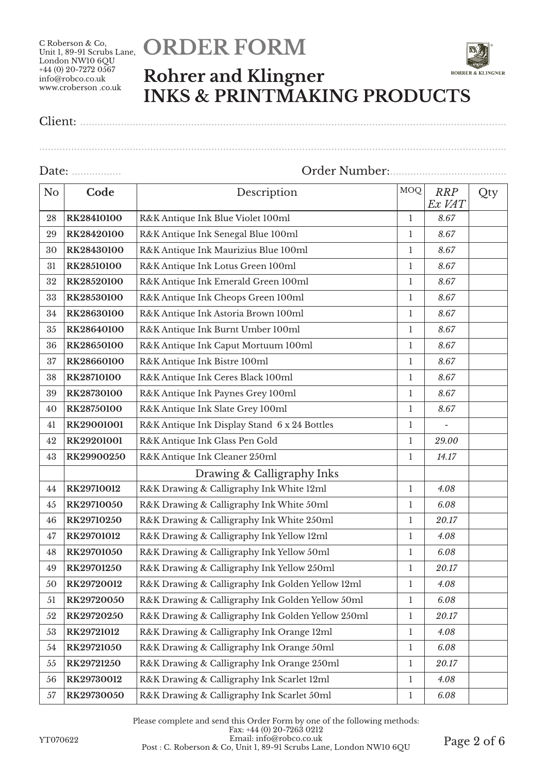# **ORDER FORM**



Client: ..................................................................................................................................................

................................................................................................................................................................

| N <sub>o</sub> | Code                                                     | MOQ<br>Description                                     |              | <b>RRP</b><br>Ex VAT | Qty |
|----------------|----------------------------------------------------------|--------------------------------------------------------|--------------|----------------------|-----|
| 28             | RK28410100                                               | R&K Antique Ink Blue Violet 100ml                      |              | 8.67                 |     |
| 29             | RK28420100                                               | R&K Antique Ink Senegal Blue 100ml                     | $\mathbf{1}$ | 8.67                 |     |
| 30             | RK28430100                                               | R&K Antique Ink Maurizius Blue 100ml                   | $\mathbf{1}$ | 8.67                 |     |
| 31             | RK28510100                                               | R&K Antique Ink Lotus Green 100ml                      | $\mathbf{1}$ | 8.67                 |     |
| 32             | RK28520100                                               | R&K Antique Ink Emerald Green 100ml                    | $\mathbf{1}$ | 8.67                 |     |
| 33             | RK28530100                                               | R&K Antique Ink Cheops Green 100ml                     | $\mathbf{1}$ | 8.67                 |     |
| 34             | RK28630100                                               | R&K Antique Ink Astoria Brown 100ml                    | $\mathbf{1}$ | 8.67                 |     |
| 35             | RK28640100                                               | R&K Antique Ink Burnt Umber 100ml                      | $\mathbf 1$  | 8.67                 |     |
| 36             | RK28650100                                               | R&K Antique Ink Caput Mortuum 100ml                    | $\mathbf{l}$ | 8.67                 |     |
| 37             | RK28660100                                               | R&K Antique Ink Bistre 100ml                           | $\mathbf{1}$ | 8.67                 |     |
| 38             | RK28710100                                               | R&K Antique Ink Ceres Black 100ml                      | $\mathbf{1}$ | 8.67                 |     |
| 39             | RK28730100                                               | R&K Antique Ink Paynes Grey 100ml                      | $\mathbf{1}$ | 8.67                 |     |
| 40             | RK28750100                                               | R&K Antique Ink Slate Grey 100ml                       |              | 8.67                 |     |
| 41             | RK29001001                                               | R&K Antique Ink Display Stand 6 x 24 Bottles           |              |                      |     |
| 42             | RK29201001                                               | R&K Antique Ink Glass Pen Gold                         |              | 29.00                |     |
| 43             | RK29900250                                               | R&K Antique Ink Cleaner 250ml                          |              | 14.17                |     |
|                | Drawing & Calligraphy Inks                               |                                                        |              |                      |     |
| 44             | RK29710012                                               | R&K Drawing & Calligraphy Ink White 12ml               |              | 4.08                 |     |
| 45             | RK29710050                                               | R&K Drawing & Calligraphy Ink White 50ml               | $\mathbf{1}$ | 6.08                 |     |
| 46             | RK29710250                                               | R&K Drawing & Calligraphy Ink White 250ml              | $\mathbf{l}$ | 20.17                |     |
| 47             | RK29701012                                               | R&K Drawing & Calligraphy Ink Yellow 12ml              | $\mathbf{1}$ | 4.08                 |     |
| 48             | RK29701050                                               | R&K Drawing & Calligraphy Ink Yellow 50ml              | $\mathbf{1}$ | 6.08                 |     |
| 49             | RK29701250                                               | R&K Drawing & Calligraphy Ink Yellow 250ml             | $\mathbf{1}$ | 20.17                |     |
| 50             | RK29720012                                               | R&K Drawing & Calligraphy Ink Golden Yellow 12ml       | $\mathbf{1}$ | 4.08                 |     |
| 51             | RK29720050                                               | R&K Drawing & Calligraphy Ink Golden Yellow 50ml       |              | 6.08                 |     |
| 52             | RK29720250                                               | R&K Drawing & Calligraphy Ink Golden Yellow 250ml<br>1 |              | 20.17                |     |
| 53             | RK29721012                                               | R&K Drawing & Calligraphy Ink Orange 12ml              |              | 4.08                 |     |
| 54             | RK29721050                                               | R&K Drawing & Calligraphy Ink Orange 50ml              | $\bf{l}$     | 6.08                 |     |
| 55             | RK29721250                                               | R&K Drawing & Calligraphy Ink Orange 250ml             | $\bf{l}$     | 20.17                |     |
| 56             | RK29730012                                               | R&K Drawing & Calligraphy Ink Scarlet 12ml             | $\bf{l}$     | 4.08                 |     |
| 57             | R&K Drawing & Calligraphy Ink Scarlet 50ml<br>RK29730050 |                                                        | $\mathbf{1}$ | $6.08\,$             |     |

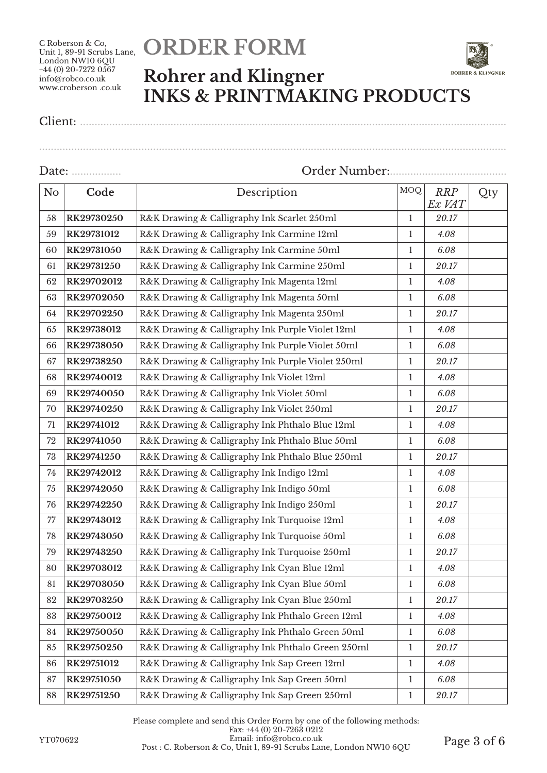# **ORDER FORM**



................................................................................................................................................................

Client: ..................................................................................................................................................

| No     | Code       | Description                                                 |              | <b>RRP</b><br>Ex VAT | Qty |
|--------|------------|-------------------------------------------------------------|--------------|----------------------|-----|
| 58     | RK29730250 | R&K Drawing & Calligraphy Ink Scarlet 250ml                 |              | 20.17                |     |
| 59     | RK29731012 | R&K Drawing & Calligraphy Ink Carmine 12ml                  | $\mathbf{1}$ | 4.08                 |     |
| 60     | RK29731050 | R&K Drawing & Calligraphy Ink Carmine 50ml                  | $\mathbf{1}$ | 6.08                 |     |
| 61     | RK29731250 | R&K Drawing & Calligraphy Ink Carmine 250ml                 | $\mathbf{1}$ | 20.17                |     |
| 62     | RK29702012 | R&K Drawing & Calligraphy Ink Magenta 12ml                  | $\mathbf{1}$ | 4.08                 |     |
| 63     | RK29702050 | R&K Drawing & Calligraphy Ink Magenta 50ml                  | $\mathbf{1}$ | 6.08                 |     |
| 64     | RK29702250 | R&K Drawing & Calligraphy Ink Magenta 250ml                 | $\mathbf{1}$ | 20.17                |     |
| 65     | RK29738012 | R&K Drawing & Calligraphy Ink Purple Violet 12ml            | $\mathbf{1}$ | 4.08                 |     |
| 66     | RK29738050 | R&K Drawing & Calligraphy Ink Purple Violet 50ml            | $\mathbf 1$  | 6.08                 |     |
| 67     | RK29738250 | R&K Drawing & Calligraphy Ink Purple Violet 250ml           | $\mathbf{1}$ | 20.17                |     |
| 68     | RK29740012 | R&K Drawing & Calligraphy Ink Violet 12ml                   | $\mathbf{1}$ | 4.08                 |     |
| 69     | RK29740050 | R&K Drawing & Calligraphy Ink Violet 50ml                   | $\mathbf{1}$ | 6.08                 |     |
| 70     | RK29740250 | R&K Drawing & Calligraphy Ink Violet 250ml                  |              | 20.17                |     |
| 71     | RK29741012 | R&K Drawing & Calligraphy Ink Phthalo Blue 12ml             |              | 4.08                 |     |
| 72     | RK29741050 | R&K Drawing & Calligraphy Ink Phthalo Blue 50ml             |              | 6.08                 |     |
| 73     | RK29741250 | R&K Drawing & Calligraphy Ink Phthalo Blue 250ml            |              | 20.17                |     |
| 74     | RK29742012 | R&K Drawing & Calligraphy Ink Indigo 12ml                   |              | 4.08                 |     |
| 75     | RK29742050 | R&K Drawing & Calligraphy Ink Indigo 50ml                   |              | 6.08                 |     |
| 76     | RK29742250 | R&K Drawing & Calligraphy Ink Indigo 250ml                  |              | 20.17                |     |
| $77\,$ | RK29743012 | R&K Drawing & Calligraphy Ink Turquoise 12ml                | $\mathbf{1}$ | 4.08                 |     |
| 78     | RK29743050 | R&K Drawing & Calligraphy Ink Turquoise 50ml                | $\mathbf{1}$ | 6.08                 |     |
| 79     | RK29743250 | R&K Drawing & Calligraphy Ink Turquoise 250ml               | $\mathbf{1}$ | 20.17                |     |
| 80     | RK29703012 | R&K Drawing & Calligraphy Ink Cyan Blue 12ml                | $\mathbf{1}$ | 4.08                 |     |
| 81     | RK29703050 | R&K Drawing & Calligraphy Ink Cyan Blue 50ml                | $\mathbf{1}$ | 6.08                 |     |
| 82     | RK29703250 | R&K Drawing & Calligraphy Ink Cyan Blue 250ml               | $\mathbf{1}$ | 20.17                |     |
| 83     | RK29750012 | R&K Drawing & Calligraphy Ink Phthalo Green 12ml            | $\mathbf{1}$ | 4.08                 |     |
| 84     | RK29750050 | R&K Drawing & Calligraphy Ink Phthalo Green 50ml            |              | 6.08                 |     |
| 85     | RK29750250 | R&K Drawing & Calligraphy Ink Phthalo Green 250ml           |              | 20.17                |     |
| 86     | RK29751012 | R&K Drawing & Calligraphy Ink Sap Green 12ml                | $\mathbf 1$  | 4.08                 |     |
| 87     | RK29751050 | R&K Drawing & Calligraphy Ink Sap Green 50ml<br>$\mathbf 1$ |              | 6.08                 |     |
| 88     | RK29751250 | R&K Drawing & Calligraphy Ink Sap Green 250ml               | $\mathbf{l}$ | 20.17                |     |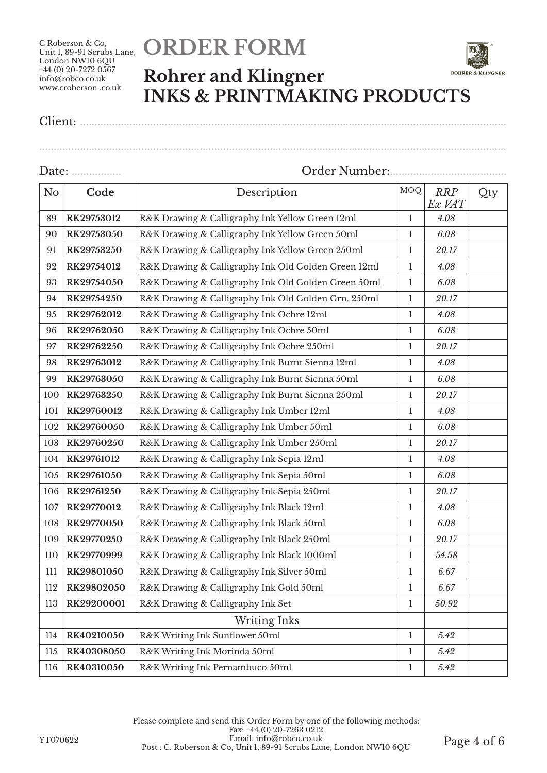# **ORDER FORM**



Client: ..................................................................................................................................................

| N <sub>o</sub> | Code                                                   | <b>MOQ</b><br>Description                           |              | <b>RRP</b><br>Ex VAT | Qty |
|----------------|--------------------------------------------------------|-----------------------------------------------------|--------------|----------------------|-----|
| 89             | RK29753012                                             | R&K Drawing & Calligraphy Ink Yellow Green 12ml     |              | 4.08                 |     |
| 90             | RK29753050                                             | R&K Drawing & Calligraphy Ink Yellow Green 50ml     | 1            | 6.08                 |     |
| 91             | RK29753250                                             | R&K Drawing & Calligraphy Ink Yellow Green 250ml    | $\mathbf{1}$ | 20.17                |     |
| 92             | RK29754012                                             | R&K Drawing & Calligraphy Ink Old Golden Green 12ml | 1            | 4.08                 |     |
| 93             | RK29754050                                             | R&K Drawing & Calligraphy Ink Old Golden Green 50ml | $\mathbf{1}$ | 6.08                 |     |
| 94             | RK29754250                                             | R&K Drawing & Calligraphy Ink Old Golden Grn. 250ml | $\mathbf{1}$ | 20.17                |     |
| 95             | RK29762012                                             | R&K Drawing & Calligraphy Ink Ochre 12ml            | $\mathbf{1}$ | 4.08                 |     |
| 96             | RK29762050                                             | R&K Drawing & Calligraphy Ink Ochre 50ml            | $\mathbf{1}$ | 6.08                 |     |
| 97             | RK29762250                                             | R&K Drawing & Calligraphy Ink Ochre 250ml           | $\mathbf{1}$ | 20.17                |     |
| 98             | RK29763012                                             | R&K Drawing & Calligraphy Ink Burnt Sienna 12ml     | $\mathbf{1}$ | 4.08                 |     |
| 99             | RK29763050                                             | R&K Drawing & Calligraphy Ink Burnt Sienna 50ml     | $\mathbf{1}$ | 6.08                 |     |
| 100            | RK29763250                                             | R&K Drawing & Calligraphy Ink Burnt Sienna 250ml    |              | 20.17                |     |
| 101            | RK29760012                                             | R&K Drawing & Calligraphy Ink Umber 12ml            |              | 4.08                 |     |
| 102            | RK29760050                                             | R&K Drawing & Calligraphy Ink Umber 50ml            |              | 6.08                 |     |
| 103            | RK29760250                                             | R&K Drawing & Calligraphy Ink Umber 250ml           |              | 20.17                |     |
| 104            | RK29761012                                             | R&K Drawing & Calligraphy Ink Sepia 12ml            |              | 4.08                 |     |
| 105            | RK29761050<br>R&K Drawing & Calligraphy Ink Sepia 50ml |                                                     | $\mathbf{1}$ | 6.08                 |     |
| 106            | RK29761250                                             | R&K Drawing & Calligraphy Ink Sepia 250ml           | $\mathbf{1}$ | 20.17                |     |
| 107            | RK29770012                                             | R&K Drawing & Calligraphy Ink Black 12ml            | $\mathbf{1}$ | 4.08                 |     |
| 108            | RK29770050                                             | R&K Drawing & Calligraphy Ink Black 50ml            | $\mathbf{1}$ | 6.08                 |     |
| 109            | RK29770250                                             | R&K Drawing & Calligraphy Ink Black 250ml           | $\mathbf{1}$ | $20.17\,$            |     |
| $110$          | RK29770999                                             | R&K Drawing & Calligraphy Ink Black 1000ml          | $\mathbf{1}$ | 54.58                |     |
| 111            | RK29801050                                             | R&K Drawing & Calligraphy Ink Silver 50ml           | $\mathbf{1}$ | 6.67                 |     |
| $112\,$        | RK29802050                                             | R&K Drawing & Calligraphy Ink Gold 50ml             |              | 6.67                 |     |
| 113            | RK29200001                                             | R&K Drawing & Calligraphy Ink Set                   |              | 50.92                |     |
|                |                                                        | <b>Writing Inks</b>                                 |              |                      |     |
| 114            | RK40210050                                             | R&K Writing Ink Sunflower 50ml                      |              | 5.42                 |     |
| 115            | RK40308050                                             | R&K Writing Ink Morinda 50ml                        | 1            | 5.42                 |     |
| 116            | R&K Writing Ink Pernambuco 50ml<br>RK40310050          |                                                     | $\mathbf{1}$ | 5.42                 |     |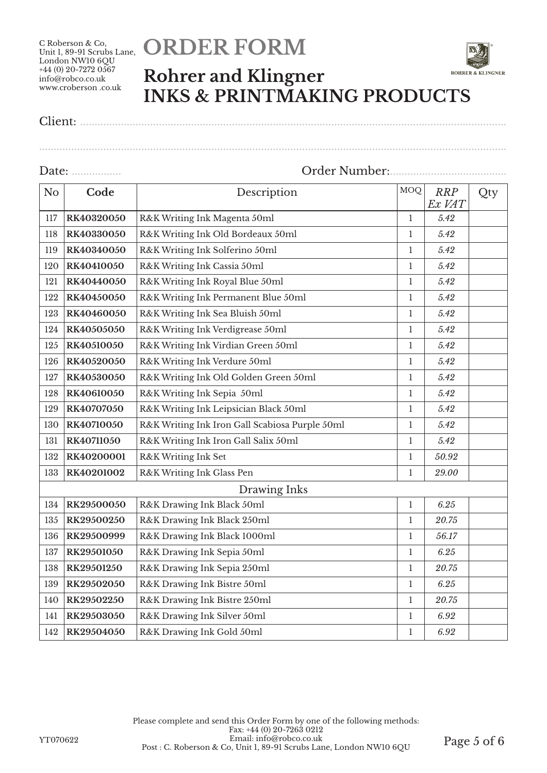# **ORDER FORM**



Client: ..................................................................................................................................................

| N <sub>o</sub> | Code                                               | Description                                    |              | <b>RRP</b><br>Ex VAT | Qty |
|----------------|----------------------------------------------------|------------------------------------------------|--------------|----------------------|-----|
| 117            | RK40320050                                         | R&K Writing Ink Magenta 50ml                   |              | 5.42                 |     |
| 118            | RK40330050                                         | R&K Writing Ink Old Bordeaux 50ml              |              | 5.42                 |     |
| 119            | RK40340050                                         | R&K Writing Ink Solferino 50ml                 | $\mathbf{1}$ | 5.42                 |     |
| 120            | RK40410050                                         | R&K Writing Ink Cassia 50ml                    | $\mathbf{1}$ | 5.42                 |     |
| 121            | RK40440050                                         | R&K Writing Ink Royal Blue 50ml                | $\mathbf{l}$ | 5.42                 |     |
| 122            | RK40450050                                         | R&K Writing Ink Permanent Blue 50ml            | $\mathbf{1}$ | 5.42                 |     |
| 123            | RK40460050                                         | R&K Writing Ink Sea Bluish 50ml                | $\mathbf{1}$ | 5.42                 |     |
| 124            | RK40505050                                         | R&K Writing Ink Verdigrease 50ml               | $\mathbf{1}$ | 5.42                 |     |
| 125            | RK40510050                                         | R&K Writing Ink Virdian Green 50ml             | $\mathbf{1}$ | 5.42                 |     |
| 126            | RK40520050                                         | R&K Writing Ink Verdure 50ml                   | $\mathbf{l}$ | 5.42                 |     |
| 127            | RK40530050                                         | R&K Writing Ink Old Golden Green 50ml          | $\bf{l}$     | 5.42                 |     |
| 128            | RK40610050                                         | R&K Writing Ink Sepia 50ml                     |              | 5.42                 |     |
| 129            | RK40707050                                         | R&K Writing Ink Leipsician Black 50ml          |              | 5.42                 |     |
| 130            | RK40710050                                         | R&K Writing Ink Iron Gall Scabiosa Purple 50ml |              | 5.42                 |     |
| 131            | R&K Writing Ink Iron Gall Salix 50ml<br>RK40711050 |                                                | $\mathbf{1}$ | 5.42                 |     |
| 132            | R&K Writing Ink Set<br>RK40200001                  |                                                | $\mathbf{1}$ | 50.92                |     |
| 133            | RK40201002                                         | R&K Writing Ink Glass Pen                      |              | 29.00                |     |
| Drawing Inks   |                                                    |                                                |              |                      |     |
| 134            | RK29500050                                         | R&K Drawing Ink Black 50ml                     | $\mathbf{1}$ | 6.25                 |     |
| 135            | RK29500250                                         | R&K Drawing Ink Black 250ml                    | $\mathbf{1}$ | 20.75                |     |
| 136            | RK29500999                                         | R&K Drawing Ink Black 1000ml                   | $\mathbf{1}$ | 56.17                |     |
| 137            | RK29501050                                         | R&K Drawing Ink Sepia 50ml                     |              | 6.25                 |     |
| 138            | RK29501250                                         | R&K Drawing Ink Sepia 250ml                    |              | 20.75                |     |
| 139            | RK29502050                                         | R&K Drawing Ink Bistre 50ml<br>$\mathbf{1}$    |              | 6.25                 |     |
| 140            | RK29502250                                         | R&K Drawing Ink Bistre 250ml                   | $\mathbf 1$  | 20.75                |     |
| 141            | RK29503050                                         | R&K Drawing Ink Silver 50ml                    | $\mathbf{1}$ | 6.92                 |     |
| 142            | RK29504050                                         | R&K Drawing Ink Gold 50ml                      |              | 6.92                 |     |